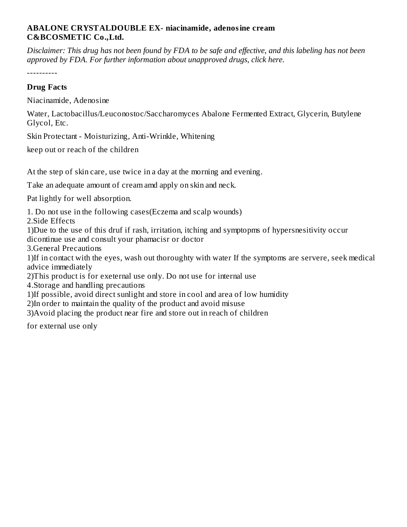## **ABALONE CRYSTALDOUBLE EX- niacinamide, adenosine cream C&BCOSMETIC Co.,Ltd.**

Disclaimer: This drug has not been found by FDA to be safe and effective, and this labeling has not been *approved by FDA. For further information about unapproved drugs, click here.*

----------

## **Drug Facts**

Niacinamide, Adenosine

Water, Lactobacillus/Leuconostoc/Saccharomyces Abalone Fermented Extract, Glycerin, Butylene Glycol, Etc.

Skin Protectant - Moisturizing, Anti-Wrinkle, Whitening

keep out or reach of the children

At the step of skin care, use twice in a day at the morning and evening.

Take an adequate amount of cream amd apply on skin and neck.

Pat lightly for well absorption.

1. Do not use in the following cases(Eczema and scalp wounds)

2.Side Effects

1)Due to the use of this druf if rash, irritation, itching and symptopms of hypersnesitivity occur

dicontinue use and consult your phamacisr or doctor

3.General Precautions

1)If in contact with the eyes, wash out thoroughty with water If the symptoms are servere, seek medical advice immediately

2)This product is for exeternal use only. Do not use for internal use

4.Storage and handling precautions

1)If possible, avoid direct sunlight and store in cool and area of low humidity

2)In order to maintain the quality of the product and avoid misuse

3)Avoid placing the product near fire and store out in reach of children

for external use only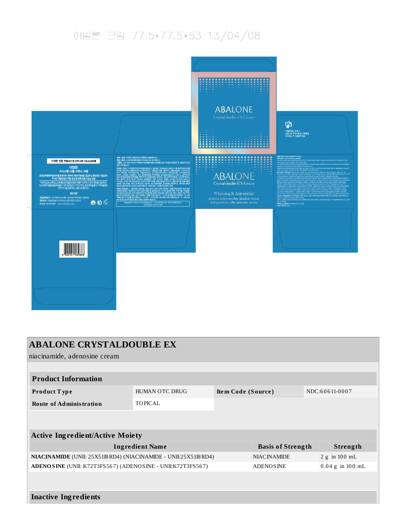## 0발론 크림 77.5\*77.5\*53 13/04/08



| <b>ABALONE CRYSTALDOUBLE EX</b>                                  |                    |                          |                    |                |  |  |  |  |
|------------------------------------------------------------------|--------------------|--------------------------|--------------------|----------------|--|--|--|--|
| niacinamide, adenosine cream                                     |                    |                          |                    |                |  |  |  |  |
|                                                                  |                    |                          |                    |                |  |  |  |  |
| <b>Product Information</b>                                       |                    |                          |                    |                |  |  |  |  |
| Product Type                                                     | HUMAN OTC DRUG     | Item Code (Source)       |                    | NDC:60611-0007 |  |  |  |  |
| <b>Route of Administration</b>                                   | <b>TOPICAL</b>     |                          |                    |                |  |  |  |  |
|                                                                  |                    |                          |                    |                |  |  |  |  |
|                                                                  |                    |                          |                    |                |  |  |  |  |
| <b>Active Ingredient/Active Moiety</b>                           |                    |                          |                    |                |  |  |  |  |
| <b>Ingredient Name</b>                                           |                    | <b>Basis of Strength</b> |                    | Strength       |  |  |  |  |
| NIACINAMIDE (UNII: 25X51I8 RD4) (NIACINAMIDE - UNII:25X51I8 RD4) | <b>NIACINAMIDE</b> |                          | $2 g$ in 100 mL    |                |  |  |  |  |
| ADENOSINE (UNII: K72T3FS567) (ADENOSINE - UNII:K72T3FS567)       | <b>ADENOSINE</b>   |                          | $0.04$ g in 100 mL |                |  |  |  |  |
|                                                                  |                    |                          |                    |                |  |  |  |  |
|                                                                  |                    |                          |                    |                |  |  |  |  |
| <b>Inactive Ingredients</b>                                      |                    |                          |                    |                |  |  |  |  |